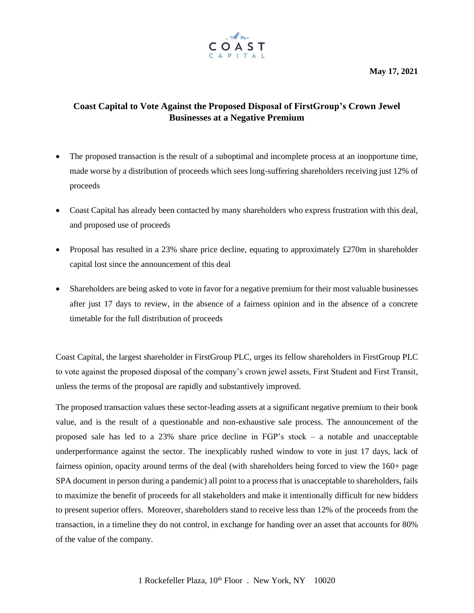**May 17, 2021**



## **Coast Capital to Vote Against the Proposed Disposal of FirstGroup's Crown Jewel Businesses at a Negative Premium**

- The proposed transaction is the result of a suboptimal and incomplete process at an inopportune time, made worse by a distribution of proceeds which sees long-suffering shareholders receiving just 12% of proceeds
- Coast Capital has already been contacted by many shareholders who express frustration with this deal, and proposed use of proceeds
- Proposal has resulted in a 23% share price decline, equating to approximately  $\pounds$ 270m in shareholder capital lost since the announcement of this deal
- Shareholders are being asked to vote in favor for a negative premium for their most valuable businesses after just 17 days to review, in the absence of a fairness opinion and in the absence of a concrete timetable for the full distribution of proceeds

Coast Capital, the largest shareholder in FirstGroup PLC, urges its fellow shareholders in FirstGroup PLC to vote against the proposed disposal of the company's crown jewel assets, First Student and First Transit, unless the terms of the proposal are rapidly and substantively improved.

The proposed transaction values these sector-leading assets at a significant negative premium to their book value, and is the result of a questionable and non-exhaustive sale process. The announcement of the proposed sale has led to a 23% share price decline in FGP's stock – a notable and unacceptable underperformance against the sector. The inexplicably rushed window to vote in just 17 days, lack of fairness opinion, opacity around terms of the deal (with shareholders being forced to view the 160+ page SPA document in person during a pandemic) all point to a process that is unacceptable to shareholders, fails to maximize the benefit of proceeds for all stakeholders and make it intentionally difficult for new bidders to present superior offers. Moreover, shareholders stand to receive less than 12% of the proceeds from the transaction, in a timeline they do not control, in exchange for handing over an asset that accounts for 80% of the value of the company.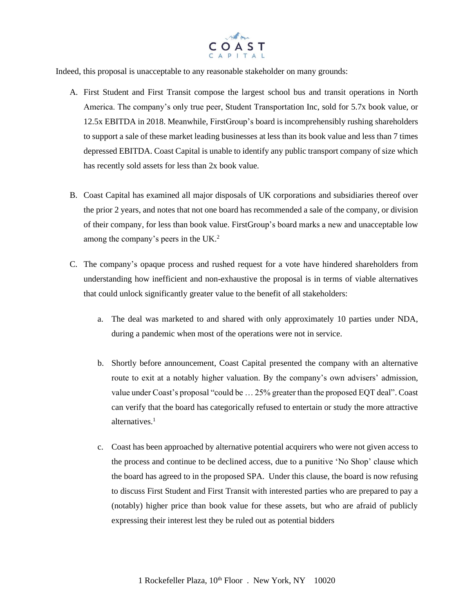

Indeed, this proposal is unacceptable to any reasonable stakeholder on many grounds:

- A. First Student and First Transit compose the largest school bus and transit operations in North America. The company's only true peer, Student Transportation Inc, sold for 5.7x book value, or 12.5x EBITDA in 2018. Meanwhile, FirstGroup's board is incomprehensibly rushing shareholders to support a sale of these market leading businesses at less than its book value and less than 7 times depressed EBITDA. Coast Capital is unable to identify any public transport company of size which has recently sold assets for less than 2x book value.
- B. Coast Capital has examined all major disposals of UK corporations and subsidiaries thereof over the prior 2 years, and notes that not one board has recommended a sale of the company, or division of their company, for less than book value. FirstGroup's board marks a new and unacceptable low among the company's peers in the UK. 2
- C. The company's opaque process and rushed request for a vote have hindered shareholders from understanding how inefficient and non-exhaustive the proposal is in terms of viable alternatives that could unlock significantly greater value to the benefit of all stakeholders:
	- a. The deal was marketed to and shared with only approximately 10 parties under NDA, during a pandemic when most of the operations were not in service.
	- b. Shortly before announcement, Coast Capital presented the company with an alternative route to exit at a notably higher valuation. By the company's own advisers' admission, value under Coast's proposal "could be … 25% greater than the proposed EQT deal". Coast can verify that the board has categorically refused to entertain or study the more attractive alternatives $<sup>1</sup>$ </sup>
	- c. Coast has been approached by alternative potential acquirers who were not given access to the process and continue to be declined access, due to a punitive 'No Shop' clause which the board has agreed to in the proposed SPA. Under this clause, the board is now refusing to discuss First Student and First Transit with interested parties who are prepared to pay a (notably) higher price than book value for these assets, but who are afraid of publicly expressing their interest lest they be ruled out as potential bidders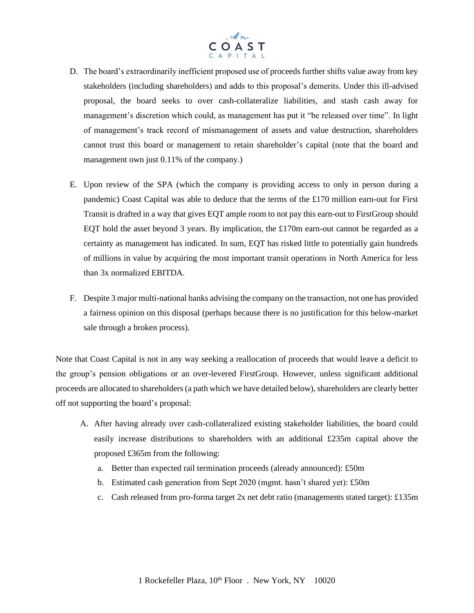

- D. The board's extraordinarily inefficient proposed use of proceeds further shifts value away from key stakeholders (including shareholders) and adds to this proposal's demerits. Under this ill-advised proposal, the board seeks to over cash-collateralize liabilities, and stash cash away for management's discretion which could, as management has put it "be released over time". In light of management's track record of mismanagement of assets and value destruction, shareholders cannot trust this board or management to retain shareholder's capital (note that the board and management own just 0.11% of the company.)
- E. Upon review of the SPA (which the company is providing access to only in person during a pandemic) Coast Capital was able to deduce that the terms of the £170 million earn-out for First Transit is drafted in a way that gives EQT ample room to not pay this earn-out to FirstGroup should EQT hold the asset beyond 3 years. By implication, the £170m earn-out cannot be regarded as a certainty as management has indicated. In sum, EQT has risked little to potentially gain hundreds of millions in value by acquiring the most important transit operations in North America for less than 3x normalized EBITDA.
- F. Despite 3 major multi-national banks advising the company on the transaction, not one has provided a fairness opinion on this disposal (perhaps because there is no justification for this below-market sale through a broken process).

Note that Coast Capital is not in any way seeking a reallocation of proceeds that would leave a deficit to the group's pension obligations or an over-levered FirstGroup. However, unless significant additional proceeds are allocated to shareholders (a path which we have detailed below), shareholders are clearly better off not supporting the board's proposal:

- A. After having already over cash-collateralized existing stakeholder liabilities, the board could easily increase distributions to shareholders with an additional £235m capital above the proposed £365m from the following:
	- a. Better than expected rail termination proceeds (already announced): £50m
	- b. Estimated cash generation from Sept 2020 (mgmt. hasn't shared yet): £50m
	- c. Cash released from pro-forma target 2x net debt ratio (managements stated target): £135m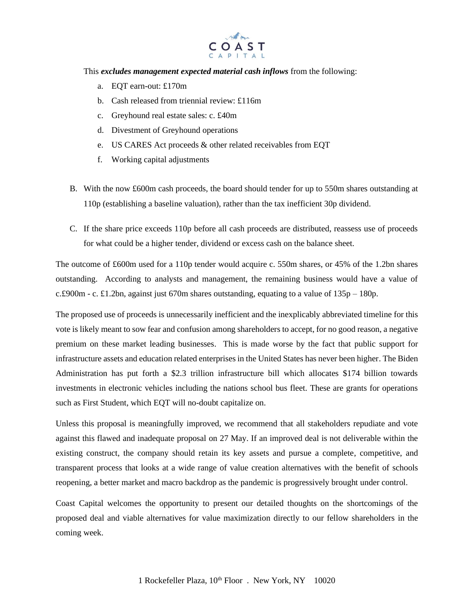

This *excludes management expected material cash inflows* from the following:

- a. EQT earn-out: £170m
- b. Cash released from triennial review: £116m
- c. Greyhound real estate sales: c. £40m
- d. Divestment of Greyhound operations
- e. US CARES Act proceeds & other related receivables from EQT
- f. Working capital adjustments
- B. With the now £600m cash proceeds, the board should tender for up to 550m shares outstanding at 110p (establishing a baseline valuation), rather than the tax inefficient 30p dividend.
- C. If the share price exceeds 110p before all cash proceeds are distributed, reassess use of proceeds for what could be a higher tender, dividend or excess cash on the balance sheet.

The outcome of £600m used for a 110p tender would acquire c. 550m shares, or 45% of the 1.2bn shares outstanding. According to analysts and management, the remaining business would have a value of c.£900m - c. £1.2bn, against just 670m shares outstanding, equating to a value of 135p – 180p.

The proposed use of proceeds is unnecessarily inefficient and the inexplicably abbreviated timeline for this vote is likely meant to sow fear and confusion among shareholders to accept, for no good reason, a negative premium on these market leading businesses. This is made worse by the fact that public support for infrastructure assets and education related enterprises in the United States has never been higher. The Biden Administration has put forth a \$2.3 trillion infrastructure bill which allocates \$174 billion towards investments in electronic vehicles including the nations school bus fleet. These are grants for operations such as First Student, which EQT will no-doubt capitalize on.

Unless this proposal is meaningfully improved, we recommend that all stakeholders repudiate and vote against this flawed and inadequate proposal on 27 May. If an improved deal is not deliverable within the existing construct, the company should retain its key assets and pursue a complete, competitive, and transparent process that looks at a wide range of value creation alternatives with the benefit of schools reopening, a better market and macro backdrop as the pandemic is progressively brought under control.

Coast Capital welcomes the opportunity to present our detailed thoughts on the shortcomings of the proposed deal and viable alternatives for value maximization directly to our fellow shareholders in the coming week.